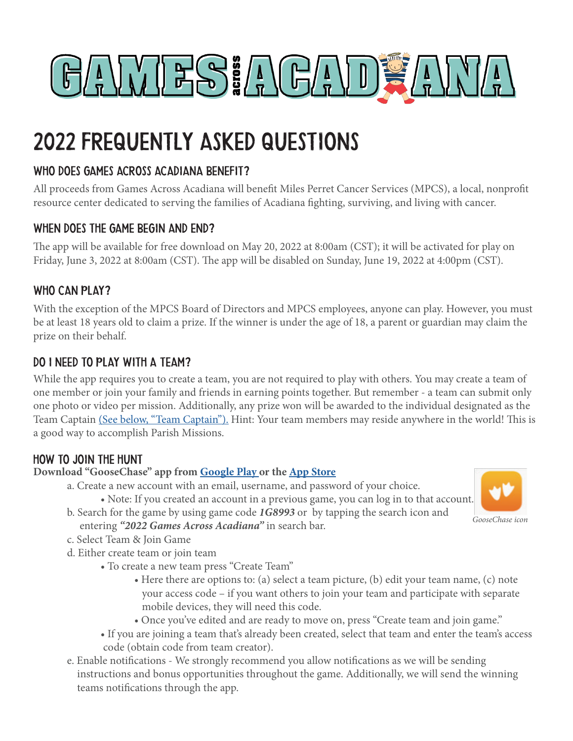

# 2022 FREQUENTLY ASKED QUESTIONS

## WHO DOES GAMES ACROSS ACADIANA BENEFIT?

All proceeds from Games Across Acadiana will benefit Miles Perret Cancer Services (MPCS), a local, nonprofit resource center dedicated to serving the families of Acadiana fighting, surviving, and living with cancer.

#### WHEN DOES THE GAME BEGIN AND END?

The app will be available for free download on May 20, 2022 at 8:00am (CST); it will be activated for play on Friday, June 3, 2022 at 8:00am (CST). The app will be disabled on Sunday, June 19, 2022 at 4:00pm (CST).

## WHO CAN PLAY?

With the exception of the MPCS Board of Directors and MPCS employees, anyone can play. However, you must be at least 18 years old to claim a prize. If the winner is under the age of 18, a parent or guardian may claim the prize on their behalf.

## Do I need to play with a team?

While the app requires you to create a team, you are not required to play with others. You may create a team of one member or join your family and friends in earning points together. But remember - a team can submit only one photo or video per mission. Additionally, any prize won will be awarded to the individual designated as the Team Captain (See below, "Team Captain"). Hint: Your team members may reside anywhere in the world! This is a good way to accomplish Parish Missions.

## How to join the Hunt

#### **Download "GooseChase" app from Google Play or the App Store**

- a. Create a new account with an email, username, and password of your choice.
	- Note: If you created an account in a previous game, you can log in to that account.
- b. Search for the game by using game code *1G8993* or by tapping the search icon and
- *GooseChase icon*
- entering *"2022 Games Across Acadiana"* in search bar. c. Select Team & Join Game
- d. Either create team or join team
	- To create a new team press "Create Team"
		- Here there are options to: (a) select a team picture, (b) edit your team name, (c) note your access code – if you want others to join your team and participate with separate mobile devices, they will need this code.
		- Once you've edited and are ready to move on, press "Create team and join game."
		- If you are joining a team that's already been created, select that team and enter the team's access code (obtain code from team creator).
- e. Enable notifications We strongly recommend you allow notifications as we will be sending instructions and bonus opportunities throughout the game. Additionally, we will send the winning teams notifications through the app.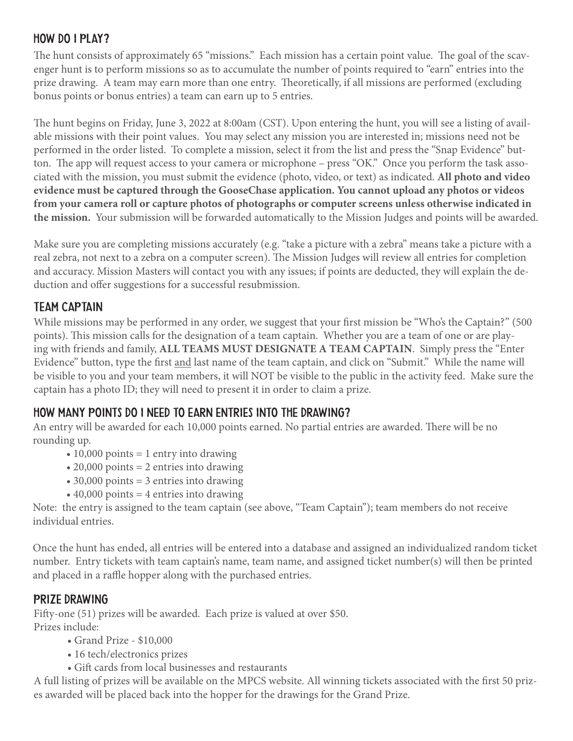#### How DO I Play?

The hunt consists of approximately 65 "missions." Each mission has a certain point value. The goal of the scavenger hunt is to perform missions so as to accumulate the number of points required to "earn" entries into the prize drawing. A team may earn more than one entry. Theoretically, if all missions are performed (excluding bonus points or bonus entries) a team can earn up to 5 entries.

The hunt begins on Friday, June 3, 2022 at 8:00am (CST). Upon entering the hunt, you will see a listing of available missions with their point values. You may select any mission you are interested in; missions need not be performed in the order listed. To complete a mission, select it from the list and press the "Snap Evidence" button. The app will request access to your camera or microphone – press "OK." Once you perform the task associated with the mission, you must submit the evidence (photo, video, or text) as indicated. **All photo and video evidence must be captured through the GooseChase application. You cannot upload any photos or videos from your camera roll or capture photos of photographs or computer screens unless otherwise indicated in the mission.** Your submission will be forwarded automatically to the Mission Judges and points will be awarded.

Make sure you are completing missions accurately (e.g. "take a picture with a zebra" means take a picture with a real zebra, not next to a zebra on a computer screen). The Mission Judges will review all entries for completion and accuracy. Mission Masters will contact you with any issues; if points are deducted, they will explain the deduction and offer suggestions for a successful resubmission.

#### Team Captain

While missions may be performed in any order, we suggest that your first mission be "Who's the Captain?" (500 points). This mission calls for the designation of a team captain. Whether you are a team of one or are playing with friends and family, **ALL TEAMS MUST DESIGNATE A TEAM CAPTAIN**. Simply press the "Enter Evidence" button, type the first and last name of the team captain, and click on "Submit." While the name will be visible to you and your team members, it will NOT be visible to the public in the activity feed. Make sure the captain has a photo ID; they will need to present it in order to claim a prize.

#### How many points do I need to earn entries into the drawing?

An entry will be awarded for each 10,000 points earned. No partial entries are awarded. There will be no rounding up.

- $\cdot$  10,000 points = 1 entry into drawing
- 20,000 points = 2 entries into drawing
- 30,000 points = 3 entries into drawing
- $\cdot$  40,000 points = 4 entries into drawing

Note: the entry is assigned to the team captain (see above, "Team Captain"); team members do not receive individual entries.

Once the hunt has ended, all entries will be entered into a database and assigned an individualized random ticket number. Entry tickets with team captain's name, team name, and assigned ticket number(s) will then be printed and placed in a raffle hopper along with the purchased entries.

#### PRIze drawing

Fifty-one (51) prizes will be awarded. Each prize is valued at over \$50. Prizes include:

- Grand Prize \$10,000
- 16 tech/electronics prizes
- Gift cards from local businesses and restaurants

A full listing of prizes will be available on the MPCS website. All winning tickets associated with the first 50 prizes awarded will be placed back into the hopper for the drawings for the Grand Prize.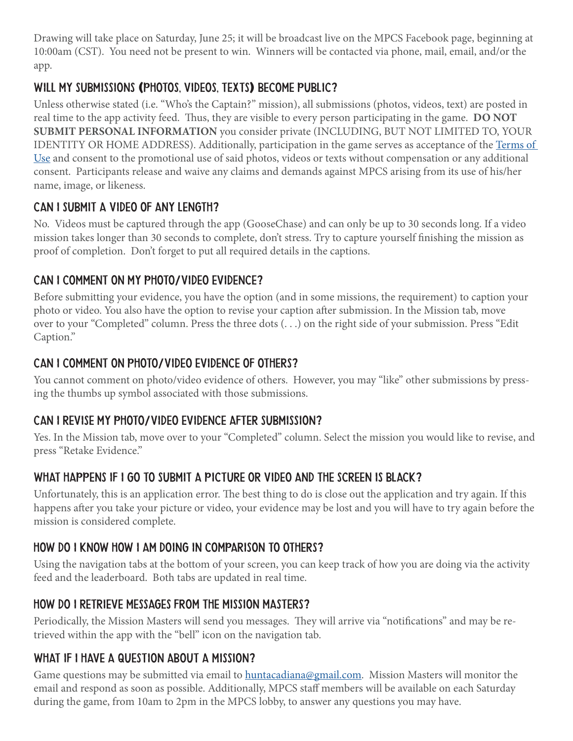Drawing will take place on Saturday, June 25; it will be broadcast live on the MPCS Facebook page, beginning at 10:00am (CST). You need not be present to win. Winners will be contacted via phone, mail, email, and/or the app.

# Will my submissions **(**photos, videos, texts**)** become public?

Unless otherwise stated (i.e. "Who's the Captain?" mission), all submissions (photos, videos, text) are posted in real time to the app activity feed. Thus, they are visible to every person participating in the game. **DO NOT SUBMIT PERSONAL INFORMATION** you consider private (INCLUDING, BUT NOT LIMITED TO, YOUR IDENTITY OR HOME ADDRESS). Additionally, participation in the game serves as acceptance of the Terms of Use and consent to the promotional use of said photos, videos or texts without compensation or any additional consent. Participants release and waive any claims and demands against MPCS arising from its use of his/her name, image, or likeness.

## Can I submit a video of any length?

No. Videos must be captured through the app (GooseChase) and can only be up to 30 seconds long. If a video mission takes longer than 30 seconds to complete, don't stress. Try to capture yourself finishing the mission as proof of completion. Don't forget to put all required details in the captions.

# Can I comment on my photo/video evidence?

Before submitting your evidence, you have the option (and in some missions, the requirement) to caption your photo or video. You also have the option to revise your caption after submission. In the Mission tab, move over to your "Completed" column. Press the three dots (. . .) on the right side of your submission. Press "Edit Caption."

# Can I comment on photo/video evidence of others?

You cannot comment on photo/video evidence of others. However, you may "like" other submissions by pressing the thumbs up symbol associated with those submissions.

## Can I revise my photo/video evidence after submission?

Yes. In the Mission tab, move over to your "Completed" column. Select the mission you would like to revise, and press "Retake Evidence."

# WHAT HAPPENS IF I GO TO SUBMIT A PICTURE OR VIDEO AND THE SCREEN IS BLACK?

Unfortunately, this is an application error. The best thing to do is close out the application and try again. If this happens after you take your picture or video, your evidence may be lost and you will have to try again before the mission is considered complete.

# How do I know how I am doing in comparison to others?

Using the navigation tabs at the bottom of your screen, you can keep track of how you are doing via the activity feed and the leaderboard. Both tabs are updated in real time.

## How do I retrieve messages from the Mission Masters?

Periodically, the Mission Masters will send you messages. They will arrive via "notifications" and may be retrieved within the app with the "bell" icon on the navigation tab.

# WHAT IF I HAVE A QUESTION ABOUT A MISSION?

Game questions may be submitted via email to huntacadiana@gmail.com. Mission Masters will monitor the email and respond as soon as possible. Additionally, MPCS staff members will be available on each Saturday during the game, from 10am to 2pm in the MPCS lobby, to answer any questions you may have.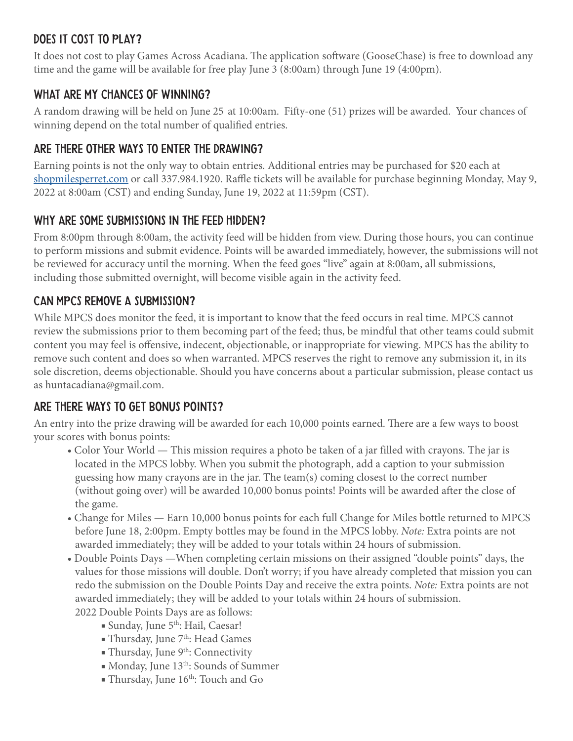# Does it cost to play?

It does not cost to play Games Across Acadiana. The application software (GooseChase) is free to download any time and the game will be available for free play June 3 (8:00am) through June 19 (4:00pm).

#### WHAT ARE MY CHANCES OF WINNING?

A random drawing will be held on June 25 at 10:00am. Fifty-one (51) prizes will be awarded. Your chances of winning depend on the total number of qualified entries.

#### Are there other ways to enter the drawing?

Earning points is not the only way to obtain entries. Additional entries may be purchased for \$20 each at shopmilesperret.com or call 337.984.1920. Raffle tickets will be available for purchase beginning Monday, May 9, 2022 at 8:00am (CST) and ending Sunday, June 19, 2022 at 11:59pm (CST).

#### WHY ARE SOME SUBMISSIONS IN THE FEED HIDDEN?

From 8:00pm through 8:00am, the activity feed will be hidden from view. During those hours, you can continue to perform missions and submit evidence. Points will be awarded immediately, however, the submissions will not be reviewed for accuracy until the morning. When the feed goes "live" again at 8:00am, all submissions, including those submitted overnight, will become visible again in the activity feed.

#### CAn MPCS Remove a submission?

While MPCS does monitor the feed, it is important to know that the feed occurs in real time. MPCS cannot review the submissions prior to them becoming part of the feed; thus, be mindful that other teams could submit content you may feel is offensive, indecent, objectionable, or inappropriate for viewing. MPCS has the ability to remove such content and does so when warranted. MPCS reserves the right to remove any submission it, in its sole discretion, deems objectionable. Should you have concerns about a particular submission, please contact us as huntacadiana@gmail.com.

## Are there ways to get bonus points?

An entry into the prize drawing will be awarded for each 10,000 points earned. There are a few ways to boost your scores with bonus points:

- Color Your World This mission requires a photo be taken of a jar filled with crayons. The jar is located in the MPCS lobby. When you submit the photograph, add a caption to your submission guessing how many crayons are in the jar. The team(s) coming closest to the correct number (without going over) will be awarded 10,000 bonus points! Points will be awarded after the close of the game.
- Change for Miles Earn 10,000 bonus points for each full Change for Miles bottle returned to MPCS before June 18, 2:00pm. Empty bottles may be found in the MPCS lobby. *Note:* Extra points are not awarded immediately; they will be added to your totals within 24 hours of submission.
- Double Points Days —When completing certain missions on their assigned "double points" days, the values for those missions will double. Don't worry; if you have already completed that mission you can redo the submission on the Double Points Day and receive the extra points. *Note:* Extra points are not awarded immediately; they will be added to your totals within 24 hours of submission. 2022 Double Points Days are as follows:
	- Sunday, June 5<sup>th</sup>: Hail, Caesar!
	- Thursday, June 7<sup>th</sup>: Head Games
	- $\blacksquare$  Thursday, June 9<sup>th</sup>: Connectivity
	- Monday, June 13<sup>th</sup>: Sounds of Summer
	- Thursday, June 16th: Touch and Go